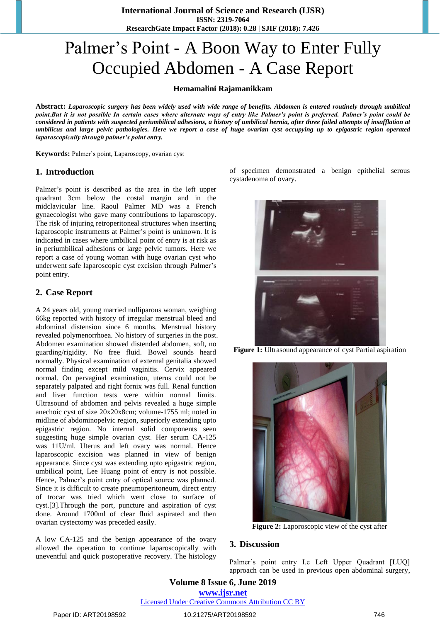**International Journal of Science and Research (IJSR) ISSN: 2319-7064 ResearchGate Impact Factor (2018): 0.28 | SJIF (2018): 7.426**

# Palmer's Point - A Boon Way to Enter Fully Occupied Abdomen - A Case Report

#### **Hemamalini Rajamanikkam**

**Abstract:** *Laparoscopic surgery has been widely used with wide range of benefits. Abdomen is entered routinely through umbilical point.But it is not possible In certain cases where alternate ways of entry like Palmer's point is preferred. Palmer's point could be considered in patients with suspected periumbilical adhesions, a history of umbilical hernia, after three failed attempts of insufflation at umbilicus and large pelvic pathologies. Here we report a case of huge ovarian cyst occupying up to epigastric region operated laparoscopically through palmer's point entry.*

**Keywords:** Palmer's point, Laparoscopy, ovarian cyst

#### **1. Introduction**

Palmer's point is described as the area in the left upper quadrant 3cm below the costal margin and in the midclavicular line. Raoul Palmer MD was a French gynaecologist who gave many contributions to laparoscopy. The risk of injuring retroperitoneal structures when inserting laparoscopic instruments at Palmer's point is unknown. It is indicated in cases where umbilical point of entry is at risk as in periumbilical adhesions or large pelvic tumors. Here we report a case of young woman with huge ovarian cyst who underwent safe laparoscopic cyst excision through Palmer's point entry.

#### **2. Case Report**

A 24 years old, young married nulliparous woman, weighing 66kg reported with history of irregular menstrual bleed and abdominal distension since 6 months. Menstrual history revealed polymenorrhoea. No history of surgeries in the post. Abdomen examination showed distended abdomen, soft, no guarding/rigidity. No free fluid. Bowel sounds heard normally. Physical examination of external genitalia showed normal finding except mild vaginitis. Cervix appeared normal. On pervaginal examination, uterus could not be separately palpated and right fornix was full. Renal function and liver function tests were within normal limits. Ultrasound of abdomen and pelvis revealed a huge simple anechoic cyst of size 20x20x8cm; volume-1755 ml; noted in midline of abdominopelvic region, superiorly extending upto epigastric region. No internal solid components seen suggesting huge simple ovarian cyst. Her serum CA-125 was 11U/ml. Uterus and left ovary was normal. Hence laparoscopic excision was planned in view of benign appearance. Since cyst was extending upto epigastric region, umbilical point, Lee Huang point of entry is not possible. Hence, Palmer's point entry of optical source was planned. Since it is difficult to create pneumoperitoneum, direct entry of trocar was tried which went close to surface of cyst.[3].Through the port, puncture and aspiration of cyst done. Around 1700ml of clear fluid aspirated and then ovarian cystectomy was preceded easily.

A low CA-125 and the benign appearance of the ovary allowed the operation to continue laparoscopically with uneventful and quick postoperative recovery. The histology

of specimen demonstrated a benign epithelial serous cystadenoma of ovary.



**Figure 1:** Ultrasound appearance of cyst Partial aspiration



**Figure 2:** Laporoscopic view of the cyst after

#### **3. Discussion**

Palmer's point entry I.e Left Upper Ouadrant [LUO] approach can be used in previous open abdominal surgery,

**Volume 8 Issue 6, June 2019 www.ijsr.net**

Licensed Under Creative Commons Attribution CC BY